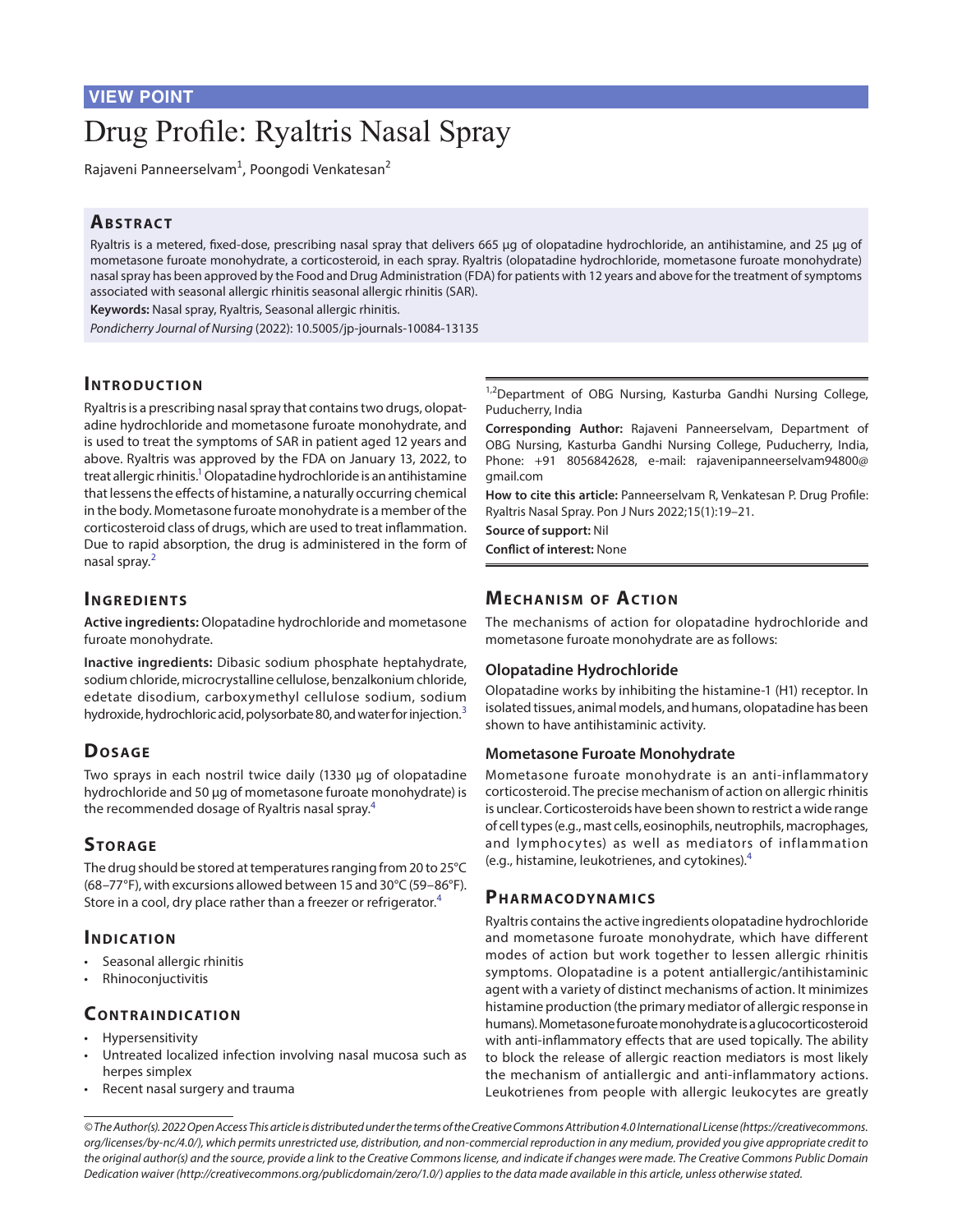# Drug Profile: Ryaltris Nasal Spray

Rajaveni Panneerselvam<sup>1</sup>, Poongodi Venkatesan<sup>2</sup>

## **ABSTRACT**

Ryaltris is a metered, fixed-dose, prescribing nasal spray that delivers 665 µg of olopatadine hydrochloride, an antihistamine, and 25 µg of mometasone furoate monohydrate, a corticosteroid, in each spray. Ryaltris (olopatadine hydrochloride, mometasone furoate monohydrate) nasal spray has been approved by the Food and Drug Administration (FDA) for patients with 12 years and above for the treatment of symptoms associated with seasonal allergic rhinitis seasonal allergic rhinitis (SAR).

**Keywords:** Nasal spray, Ryaltris, Seasonal allergic rhinitis.

*Pondicherry Journal of Nursing* (2022): 10.5005/jp-journals-10084-13135

## **INTRODUCTION**

Ryaltris is a prescribing nasal spray that contains two drugs, olopatadine hydrochloride and mometasone furoate monohydrate, and is used to treat the symptoms of SAR in patient aged 12 years and above. Ryaltris was approved by the FDA on January 13, 2022, to treat allergic rhinitis.<sup>1</sup> Olopatadine hydrochloride is an antihistamine that lessens the effects of histamine, a naturally occurring chemical in the body. Mometasone furoate monohydrate is a member of the corticosteroid class of drugs, which are used to treat inflammation. Due to rapid absorption, the drug is administered in the form of nasal spray.[2](#page-2-1)

#### **INGREDIENTS**

**Active ingredients:** Olopatadine hydrochloride and mometasone furoate monohydrate.

**Inactive ingredients:** Dibasic sodium phosphate heptahydrate, sodium chloride, microcrystalline cellulose, benzalkonium chloride, edetate disodium, carboxymethyl cellulose sodium, sodium hydroxide, hydrochloric acid, polysorbate 80, and water for injection.<sup>[3](#page-2-2)</sup>

## D<sub>OSAGE</sub>

Two sprays in each nostril twice daily (1330 µg of olopatadine hydrochloride and 50 µg of mometasone furoate monohydrate) is the recommended dosage of Ryaltris nasal spray.[4](#page-2-3)

## STORAGE

The drug should be stored at temperatures ranging from 20 to 25°C (68–77°F), with excursions allowed between 15 and 30°C (59–86°F). Store in a cool, dry place rather than a freezer or refrigerator.<sup>[4](#page-2-3)</sup>

## **INDICATION**

- Seasonal allergic rhinitis
- Rhinoconjuctivitis

## **CONTRAINDICATION**

- Hypersensitivity
- Untreated localized infection involving nasal mucosa such as herpes simplex
- Recent nasal surgery and trauma

<sup>1,2</sup>Department of OBG Nursing, Kasturba Gandhi Nursing College, Puducherry, India

**Corresponding Author:** Rajaveni Panneerselvam, Department of OBG Nursing, Kasturba Gandhi Nursing College, Puducherry, India, Phone: +91 8056842628, e-mail: rajavenipanneerselvam94800@ gmail.com

**How to cite this article:** Panneerselvam R, Venkatesan P. Drug Profile: Ryaltris Nasal Spray. Pon J Nurs 2022;15(1):19–21.

**Source of support:** Nil **Conflict of interest:** None

## **MECHANISM OF ACTION**

The mechanisms of action for olopatadine hydrochloride and mometasone furoate monohydrate are as follows:

#### **Olopatadine Hydrochloride**

Olopatadine works by inhibiting the histamine-1 (H1) receptor. In isolated tissues, animal models, and humans, olopatadine has been shown to have antihistaminic activity.

#### **Mometasone Furoate Monohydrate**

Mometasone furoate monohydrate is an anti-inflammatory corticosteroid. The precise mechanism of action on allergic rhinitis is unclear. Corticosteroids have been shown to restrict a wide range of cell types (e.g., mast cells, eosinophils, neutrophils, macrophages, and lymphocytes) as well as mediators of inflammation (e.g., histamine, leukotrienes, and cytokines).[4](#page-2-3)

## PHARMACO DYNAMICS

Ryaltris contains the active ingredients olopatadine hydrochloride and mometasone furoate monohydrate, which have different modes of action but work together to lessen allergic rhinitis symptoms. Olopatadine is a potent antiallergic/antihistaminic agent with a variety of distinct mechanisms of action. It minimizes histamine production (the primary mediator of allergic response in humans). Mometasone furoate monohydrate is a glucocorticosteroid with anti-inflammatory effects that are used topically. The ability to block the release of allergic reaction mediators is most likely the mechanism of antiallergic and anti-inflammatory actions. Leukotrienes from people with allergic leukocytes are greatly

*© The Author(s). 2022 Open Access This article is distributed under the terms of the Creative Commons Attribution 4.0 International License ([https://creativecommons.](https://creativecommons. org/licenses/by-nc/4.0/) [org/licenses/by-nc/4.0/](https://creativecommons. org/licenses/by-nc/4.0/)), which permits unrestricted use, distribution, and non-commercial reproduction in any medium, provided you give appropriate credit to the original author(s) and the source, provide a link to the Creative Commons license, and indicate if changes were made. The Creative Commons Public Domain Dedication waiver ([http://creativecommons.org/publicdomain/zero/1.0/\)](http://creativecommons.org/publicdomain/zero/1.0/) applies to the data made available in this article, unless otherwise stated.*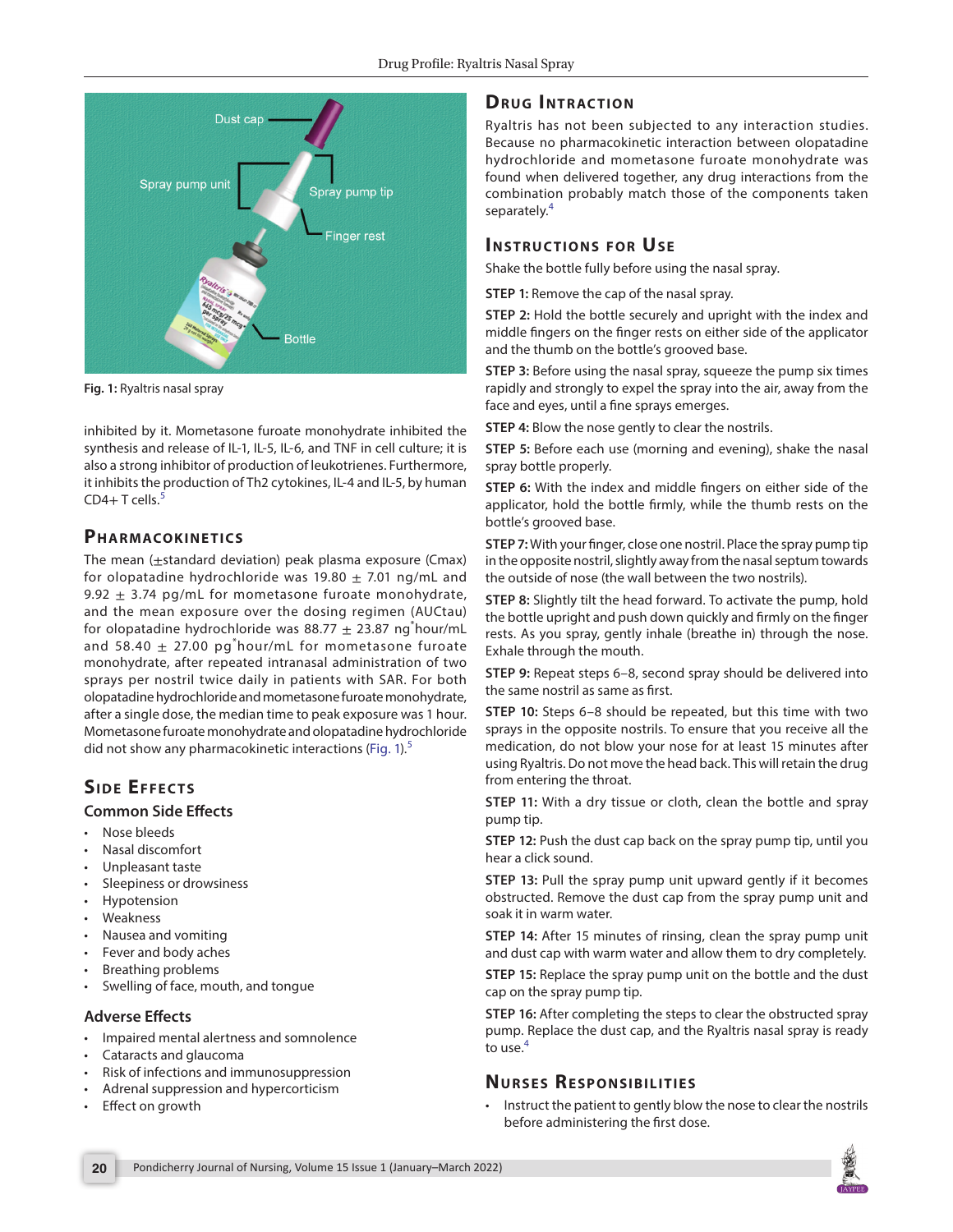

<span id="page-1-0"></span>**Fig. 1:** Ryaltris nasal spray

inhibited by it. Mometasone furoate monohydrate inhibited the synthesis and release of IL-1, IL-5, IL-6, and TNF in cell culture; it is also a strong inhibitor of production of leukotrienes. Furthermore, it inhibits the production of Th2 cytokines, IL-4 and IL-5, by human  $CD4+T$  cells.<sup>[5](#page-2-4)</sup>

## PHARMACOKINETICS

The mean (±standard deviation) peak plasma exposure (Cmax) for olopatadine hydrochloride was 19.80  $\pm$  7.01 ng/mL and 9.92  $\pm$  3.74 pg/mL for mometasone furoate monohydrate, and the mean exposure over the dosing regimen (AUCtau) for olopatadine hydrochloride was 88.77  $\pm$  23.87  $\mathsf{ng}^\ast$ hour/mL and 58.40  $\pm$  27.00 pg $^*$ hour/mL for mometasone furoate monohydrate, after repeated intranasal administration of two sprays per nostril twice daily in patients with SAR. For both olopatadine hydrochloride and mometasone furoate monohydrate, after a single dose, the median time to peak exposure was 1 hour. Mometasone furoate monohydrate and olopatadine hydrochloride did not show any pharmacokinetic interactions ([Fig. 1](#page-1-0)).<sup>[5](#page-2-4)</sup>

# **SIDE EFFECTS**

#### **Common Side Effects**

- Nose bleeds
- Nasal discomfort
- Unpleasant taste
- Sleepiness or drowsiness
- Hypotension
- Weakness
- Nausea and vomiting
- Fever and body aches
- Breathing problems
- Swelling of face, mouth, and tongue

## **Adverse Effects**

- Impaired mental alertness and somnolence
- Cataracts and glaucoma
- Risk of infections and immunosuppression
- Adrenal suppression and hypercorticism
- **Effect on growth**

# **DRUG INTRACTION**

Ryaltris has not been subjected to any interaction studies. Because no pharmacokinetic interaction between olopatadine hydrochloride and mometasone furoate monohydrate was found when delivered together, any drug interactions from the combination probably match those of the components taken separately.<sup>[4](#page-2-3)</sup>

## **INSTRUCTIONS FOR USE**

Shake the bottle fully before using the nasal spray.

**STEP 1:** Remove the cap of the nasal spray.

**STEP 2:** Hold the bottle securely and upright with the index and middle fingers on the finger rests on either side of the applicator and the thumb on the bottle's grooved base.

**STEP 3:** Before using the nasal spray, squeeze the pump six times rapidly and strongly to expel the spray into the air, away from the face and eyes, until a fine sprays emerges.

**STEP 4:** Blow the nose gently to clear the nostrils.

**STEP 5:** Before each use (morning and evening), shake the nasal spray bottle properly.

**STEP 6:** With the index and middle fingers on either side of the applicator, hold the bottle firmly, while the thumb rests on the bottle's grooved base.

**STEP 7:** With your finger, close one nostril. Place the spray pump tip in the opposite nostril, slightly away from the nasal septum towards the outside of nose (the wall between the two nostrils).

**STEP 8:** Slightly tilt the head forward. To activate the pump, hold the bottle upright and push down quickly and firmly on the finger rests. As you spray, gently inhale (breathe in) through the nose. Exhale through the mouth.

**STEP 9:** Repeat steps 6–8, second spray should be delivered into the same nostril as same as first.

**STEP 10:** Steps 6–8 should be repeated, but this time with two sprays in the opposite nostrils. To ensure that you receive all the medication, do not blow your nose for at least 15 minutes after using Ryaltris. Do not move the head back. This will retain the drug from entering the throat.

**STEP 11:** With a dry tissue or cloth, clean the bottle and spray pump tip.

**STEP 12:** Push the dust cap back on the spray pump tip, until you hear a click sound.

**STEP 13:** Pull the spray pump unit upward gently if it becomes obstructed. Remove the dust cap from the spray pump unit and soak it in warm water.

**STEP 14:** After 15 minutes of rinsing, clean the spray pump unit and dust cap with warm water and allow them to dry completely.

**STEP 15:** Replace the spray pump unit on the bottle and the dust cap on the spray pump tip.

**STEP 16:** After completing the steps to clear the obstructed spray pump. Replace the dust cap, and the Ryaltris nasal spray is ready to use.<sup>[4](#page-2-3)</sup>

## **Nu r s e s Re spo n sibilitie s**

• Instruct the patient to gently blow the nose to clear the nostrils before administering the first dose.